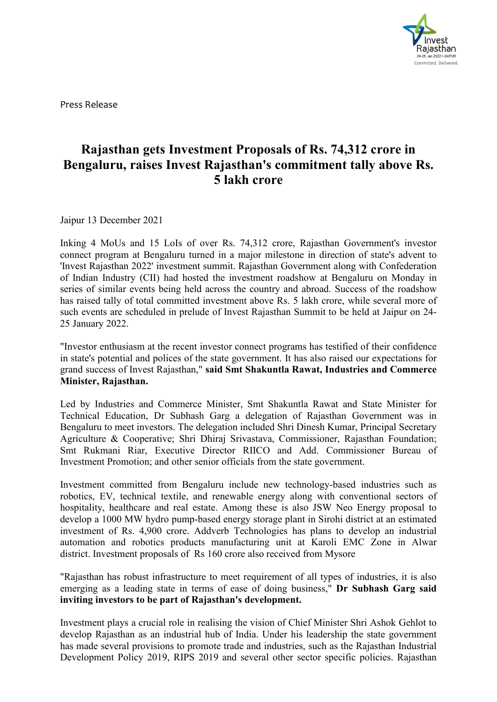

Press Release

## **Rajasthan gets Investment Proposals** of **Rs.** 74,312 **crore** in **Bengaluru, raises Invest Rajasthan's commitment tally above Rs. 5 lakh crore**

Jaipur 13 December 2021

Inking 4 MoUs and 15 LoIs of over Rs. 74,312 crore, Rajasthan Government's investor connect program at Bengaluru turned in a major milestone in direction of state's advent to 'Invest Rajasthan 2022' investment summit. Rajasthan Government along with Confederation of Indian Industry (CII) had hosted the investment roadshow at Bengaluru on Monday in series of similar events being held across the country and abroad. Success of the roadshow has raised tally of total committed investment above Rs. 5 lakh crore, while several more of such events are scheduled in prelude of Invest Rajasthan Summit to be held at Jaipur on 24- 25 January 2022.

"Investor enthusiasm at the recent investor connect programs has testified of their confidence in state's potential and polices of the state government. It has also raised our expectations for grand success of Invest Rajasthan," **said Smt Shakuntla Rawat, Industries and Commerce Minister, Rajasthan.**

Led by Industries and Commerce Minister, Smt Shakuntla Rawat and State Minister for Technical Education, Dr Subhash Garg a delegation of Rajasthan Government was in Bengaluru to meet investors. The delegation included Shri Dinesh Kumar, Principal Secretary Agriculture & Cooperative; Shri Dhiraj Srivastava, Commissioner, Rajasthan Foundation; Smt Rukmani Riar, Executive Director RIICO and Add. Commissioner Bureau of Investment Promotion; and other senior officials from the state government.

Investment committed from Bengaluru include new technology-based industries such as robotics, EV, technical textile, and renewable energy along with conventional sectors of hospitality, healthcare and real estate. Among these is also JSW Neo Energy proposal to develop a 1000 MW hydro pump-based energy storage plant in Sirohi district at an estimated investment of Rs. 4,900 crore. Addverb Technologies has plans to develop an industrial automation and robotics products manufacturing unit at Karoli EMC Zone in Alwar district. Investment proposals of Rs 160 crore also received from Mysore

"Rajasthan has robust infrastructure to meet requirement of all types of industries, it is also emerging as a leading state in terms of ease of doing business," **Dr Subhash Garg said inviting investors to be partof Rajasthan's development.**

Investment plays a crucial role in realising the vision of Chief Minister Shri Ashok Gehlot to develop Rajasthan as an industrial hub of India. Under his leadership the state government has made several provisions to promote trade and industries, such as the Rajasthan Industrial Development Policy 2019, RIPS 2019 and several other sector specific policies. Rajasthan